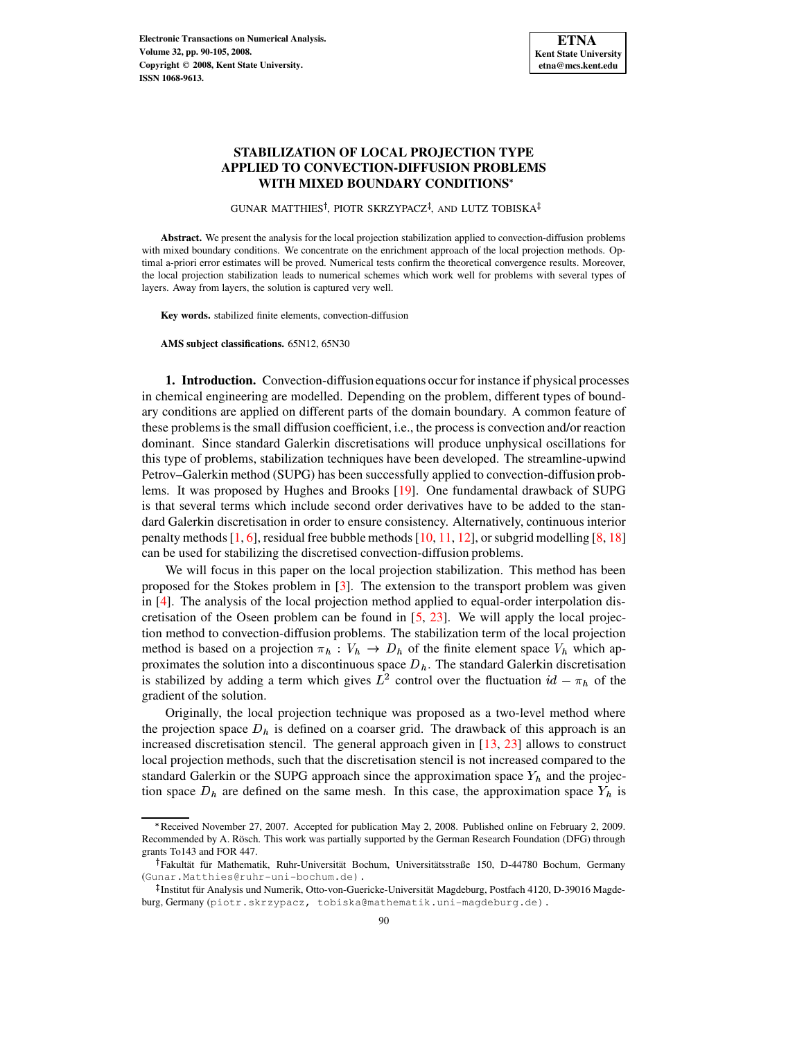# **STABILIZATION OF LOCAL PROJECTION TYPE APPLIED TO CONVECTION-DIFFUSION PROBLEMS WITH MIXED BOUNDARY CONDITIONS**

GUNAR MATTHIES<sup>†</sup>, PIOTR SKRZYPACZ<sup>‡</sup>, AND LUTZ TOBISKA

**Abstract.** We present the analysis for the local projection stabilization applied to convection-diffusion problems with mixed boundary conditions. We concentrate on the enrichment approach of the local projection methods. Optimal a-priori error estimates will be proved. Numerical tests confirm the theoretical convergence results. Moreover, the local projection stabilization leads to numerical schemes which work well for problems with several types of layers. Away from layers, the solution is captured very well.

**Key words.** stabilized finite elements, convection-diffusion

**AMS subject classifications.** 65N12, 65N30

**1. Introduction.** Convection-diffusionequations occur for instance if physical processes in chemical engineering are modelled. Depending on the problem, different types of boundary conditions are applied on different parts of the domain boundary. A common feature of these problemsis the small diffusion coefficient, i.e., the process is convection and/or reaction dominant. Since standard Galerkin discretisations will produce unphysical oscillations for this type of problems, stabilization techniques have been developed. The streamline-upwind Petrov–Galerkin method (SUPG) has been successfully applied to convection-diffusion problems. It was proposed by Hughes and Brooks [\[19\]](#page-15-0). One fundamental drawback of SUPG is that several terms which include second order derivatives have to be added to the standard Galerkin discretisation in order to ensure consistency. Alternatively, continuous interior penalty methods  $[1, 6]$  $[1, 6]$  $[1, 6]$ , residual free bubble methods  $[10, 11, 12]$  $[10, 11, 12]$  $[10, 11, 12]$  $[10, 11, 12]$  $[10, 11, 12]$ , or subgrid modelling  $[8, 18]$  $[8, 18]$  $[8, 18]$ can be used for stabilizing the discretised convection-diffusion problems.

We will focus in this paper on the local projection stabilization. This method has been proposed for the Stokes problem in [\[3\]](#page-14-6). The extension to the transport problem was given in [\[4\]](#page-14-7). The analysis of the local projection method applied to equal-order interpolation discretisation of the Oseen problem can be found in [\[5,](#page-14-8) [23\]](#page-15-2). We will apply the local projection method to convection-diffusion problems. The stabilization term of the local projection method is based on a projection  $\pi_h : V_h \to D_h$  of the finite element space  $V_h$  which approximates the solution into a discontinuous space  $D<sub>h</sub>$ . The standard Galerkin discretisation is stabilized by adding a term which gives  $L^2$  control over the fluctuation  $id - \pi_h$  of the gradient of the solution.

Originally, the local projection technique was proposed as a two-level method where the projection space  $D_h$  is defined on a coarser grid. The drawback of this approach is an increased discretisation stencil. The general approach given in  $[13, 23]$  $[13, 23]$  $[13, 23]$  allows to construct local projection methods, such that the discretisation stencil is not increased compared to the standard Galerkin or the SUPG approach since the approximation space  $Y_h$  and the projection space  $D_h$  are defined on the same mesh. In this case, the approximation space  $Y_h$  is

Received November 27, 2007. Accepted for publication May 2, 2008. Published online on February 2, 2009. Recommended by A. Rösch. This work was partially supported by the German Research Foundation (DFG) through grants To143 and FOR 447.

<sup>&</sup>lt;sup>†</sup> Fakultät für Mathematik, Ruhr-Universität Bochum, Universitätsstraße 150, D-44780 Bochum, Germany (Gunar.Matthies@ruhr-uni-bochum.de).

<sup>&</sup>lt;sup>‡</sup> Institut für Analysis und Numerik, Otto-von-Guericke-Universität Magdeburg, Postfach 4120, D-39016 Magdeburg, Germany (piotr.skrzypacz, tobiska@mathematik.uni-magdeburg.de).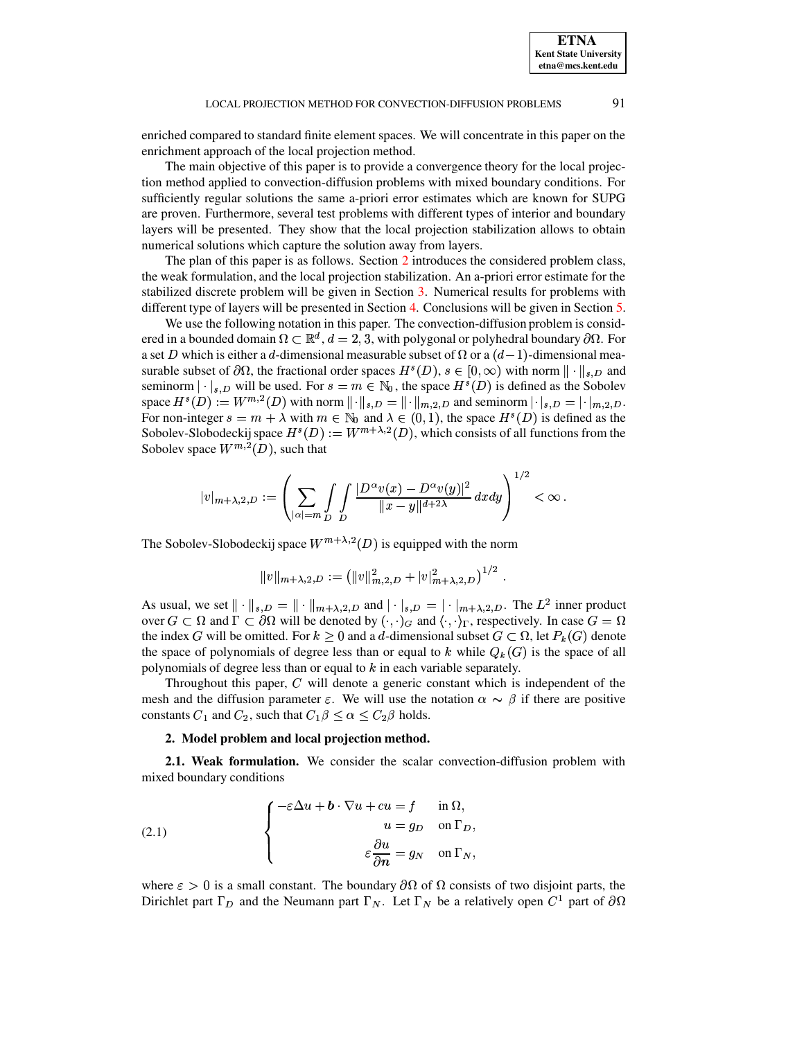enriched compared to standard finite element spaces. We will concentrate in this paper on the enrichment approach of the local projection method.

The main objective of this paper is to provide a convergence theory for the local projection method applied to convection-diffusion problems with mixed boundary conditions. For sufficiently regular solutions the same a-priori error estimates which are known for SUPG are proven. Furthermore, several test problems with different types of interior and boundary layers will be presented. They show that the local projection stabilization allows to obtain numerical solutions which capture the solution away from layers.

The plan of this paper is as follows. Section [2](#page-1-0) introduces the considered problem class, the weak formulation, and the local projection stabilization. An a-priori error estimate for the stabilized discrete problem will be given in Section [3.](#page-5-0) Numerical results for problems with different type of layers will be presented in Section [4.](#page-9-0) Conclusions will be given in Section [5.](#page-13-0)

We use the following notation in this paper. The convection-diffusion problem is considered in a bounded domain  $\Omega \subset \mathbb{R}^d$ ,  $d = 2, 3$ , with polygonal or polyhedral boundary  $\partial \Omega$ . For a set D which is either a d-dimensional measurable subset of  $\Omega$  or a  $(d-1)$ -dimensional measurable subset of  $\partial\Omega$ , the fractional order spaces  $H^s(D)$ ,  $s \in [0,\infty)$  with norm  $\|\cdot\|_{s,D}$  and seminorm  $|\cdot|_{s,D}$  will be used. For  $s = m \in \mathbb{N}_0$ , the space  $H^s(D)$  is defined as the Sobolev space  $H^s(D) := W^{m,2}(D)$  with norm  $\|\cdot\|_{s,D} = \|\cdot\|_{m,2,D}$  and seminorm  $\|\cdot\|_{s,D} = |\cdot|_{m,2,D}$ . For non-integer  $s = m + \lambda$  with  $m \in \mathbb{N}_0$  and  $\lambda \in (0,1)$ , the space  $H^s(D)$  is defined as the Sobolev-Slobodeckij space  $H^s(D) := W^{m+\lambda,2}(D)$ , which consists of all functions from the Sobolev space  $W^{m,2}(D)$ , such that

$$
|v|_{m+\lambda,2,D}:=\left(\sum_{|\alpha|=m}\int\limits_{D}\int\limits_{D}\frac{|D^\alpha v(x)-D^\alpha v(y)|^2}{\Vert x-y\Vert^{d+2\lambda}}\,dxdy\right)^{1/2}<\infty\,.
$$

The Sobolev-Slobodeckij space  $W^{m+\lambda,2}(D)$  is equipped with the norm

$$
||v||_{m+\lambda,2,D} := (||v||_{m,2,D}^2 + |v|_{m+\lambda,2,D}^2)^{1/2}.
$$

As usual, we set  $\| \cdot \|_{s,D} = \| \cdot \|_{m+\lambda,2,D}$  and  $| \cdot |_{s,D} = | \cdot |_{m+\lambda,2,D}$ . The  $L^2$  inner product over  $G \subset \Omega$  and  $\Gamma \subset \partial\Omega$  will be denoted by  $(\cdot, \cdot)_G$  and  $\langle \cdot, \cdot \rangle_{\Gamma}$ , respectively. In case  $G = \Omega$ the index G will be omitted. For  $k \geq 0$  and a d-dimensional subset  $G \subset \Omega$ , let  $P_k(G)$  denote the space of polynomials of degree less than or equal to k while  $Q_k(G)$  is the space of all polynomials of degree less than or equal to  $k$  in each variable separately.

Throughout this paper,  $C$  will denote a generic constant which is independent of the mesh and the diffusion parameter  $\varepsilon$ . We will use the notation  $\alpha \sim \beta$  if there are positive constants  $C_1$  and  $C_2$ , such that  $C_1 \beta \leq \alpha \leq C_2 \beta$  holds.<br>2. Model problem and local projection method.

#### <span id="page-1-1"></span>where the contract of the contract of the contract of the contract of the contract of the contract of the contract of the contract of the contract of the contract of the contract of the contract of the contract of the cont **2. Model problem and local projection method.**

<span id="page-1-0"></span>**2.1. Weak formulation.** We consider the scalar convection-diffusion problem with mixed boundary conditions

(2.1) 
$$
\begin{cases}\n-\varepsilon \Delta u + b \cdot \nabla u + cu = f & \text{in } \Omega, \\
u = g_D & \text{on } \Gamma_D, \\
\varepsilon \frac{\partial u}{\partial n} = g_N & \text{on } \Gamma_N,\n\end{cases}
$$

where  $\varepsilon > 0$  is a small constant. The boundary  $\partial\Omega$  of  $\Omega$  consists of two disjoint parts, the Dirichlet part  $\Gamma_D$  and the Neumann part  $\Gamma_N$ . Let  $\Gamma_N$  be a relatively open  $C^1$  part of  $\partial\Omega$ 

**ETNA Kent State University etna@mcs.kent.edu**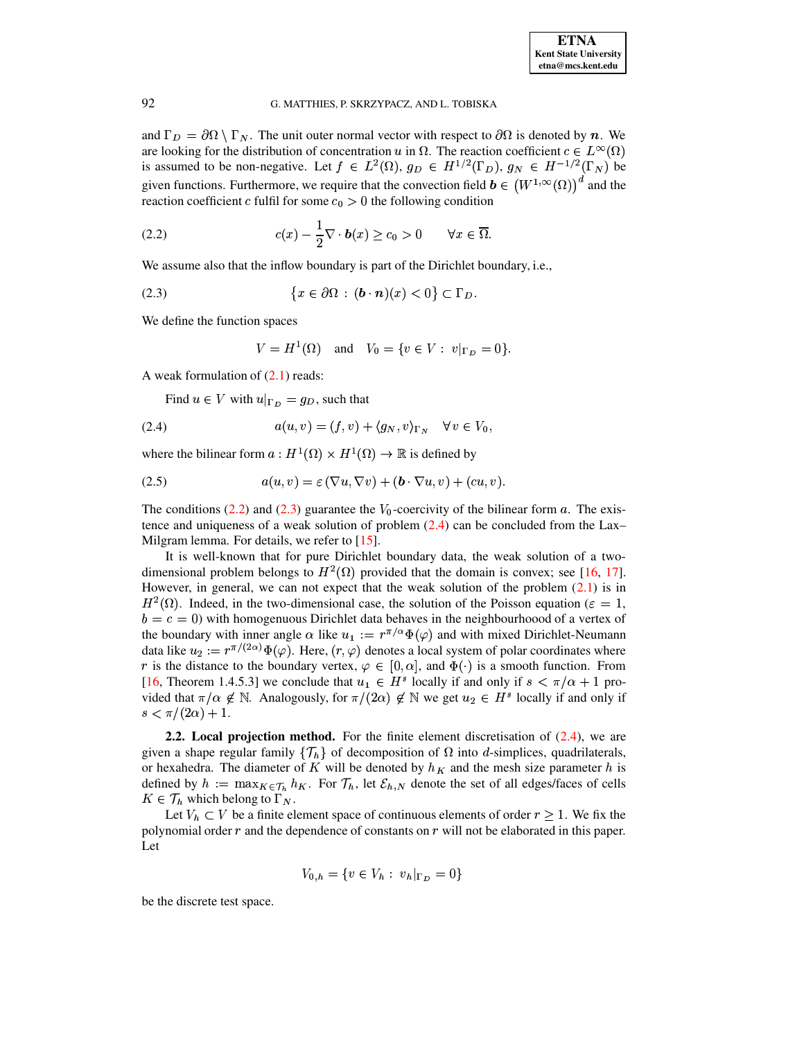and  $\Gamma_D = \partial \Omega \setminus \Gamma_N$ . The unit outer normal vector with respect to  $\partial \Omega$  is denoted by *n*. We are looking for the distribution of concentration u in  $\Omega$ . The reaction coefficient  $c \in L^{\infty}(\Omega)$ is assumed to be non-negative. Let  $f \in L^2(\Omega)$ ,  $g_D \in H^{1/2}(\Gamma_D)$ ,  $g_N \in H^{-1/2}(\Gamma_N)$  be given functions. Furthermore, we require that the convection field  $\mathbf{b} \in (W^{1,\infty}(\Omega))^d$  and the reaction coefficient c fulfil for some  $c_0 > 0$  the following condition

(2.2) 
$$
c(x) - \frac{1}{2}\nabla \cdot \boldsymbol{b}(x) \geq c_0 > 0 \quad \forall x \in \overline{\Omega}.
$$

We assume also that the inflow boundary is part of the Dirichlet boundary, i.e.,

(2.3) 
$$
\{x \in \partial \Omega : (\mathbf{b} \cdot \mathbf{n})(x) < 0\} \subset \Gamma_D
$$

We define the function spaces

<span id="page-2-2"></span><span id="page-2-1"></span><span id="page-2-0"></span>
$$
V = H^{1}(\Omega)
$$
 and  $V_0 = \{v \in V : v|_{\Gamma_D} = 0\}.$ 

A weak formulation of  $(2.1)$  reads:

Find  $u \in V$  with  $u|_{\Gamma_D} = g_D$ , such that

(2.4) 
$$
a(u,v) = (f,v) + \langle g_N, v \rangle_{\Gamma_N} \quad \forall \, v \in V_0,
$$

where the bilinear form  $a: H^1(\Omega) \times H^1(\Omega) \to \mathbb{R}$  is defined by

(2.5) 
$$
a(u, v) = \varepsilon (\nabla u, \nabla v) + (\boldsymbol{b} \cdot \nabla u, v) + (cu, v).
$$

The conditions (2.2) and (2.3) guarantee the  $V_0$ -coercivity of the bilinear form a. The existence and uniqueness of a weak solution of problem  $(2.4)$  can be concluded from the Lax-Milgram lemma. For details, we refer to [15].

It is well-known that for pure Dirichlet boundary data, the weak solution of a twodimensional problem belongs to  $H^2(\Omega)$  provided that the domain is convex; see [16, 17]. However, in general, we can not expect that the weak solution of the problem  $(2.1)$  is in  $H^2(\Omega)$ . Indeed, in the two-dimensional case, the solution of the Poisson equation ( $\varepsilon = 1$ ,  $b = c = 0$ ) with homogenious Dirichlet data behaves in the neighbourhoood of a vertex of the boundary with inner angle  $\alpha$  like  $u_1 := r^{\pi/\alpha} \Phi(\varphi)$  and with mixed Dirichlet-Neumann data like  $u_2 := r^{\pi/(2\alpha)} \Phi(\varphi)$ . Here,  $(r, \varphi)$  denotes a local system of polar coordinates where r is the distance to the boundary vertex,  $\varphi \in [0, \alpha]$ , and  $\Phi(\cdot)$  is a smooth function. From [16, Theorem 1.4.5.3] we conclude that  $u_1 \in H^s$  locally if and only if  $s < \pi/\alpha + 1$  provided that  $\pi/\alpha \notin \mathbb{N}$ . Analogously, for  $\pi/(2\alpha) \notin \mathbb{N}$  we get  $u_2 \in H^s$  locally if and only if  $s < \pi/(2\alpha) + 1.$ 

**2.2.** Local projection method. For the finite element discretisation of  $(2.4)$ , we are given a shape regular family  $\{\mathcal{T}_h\}$  of decomposition of  $\Omega$  into d-simplices, quadrilaterals, or hexahedra. The diameter of K will be denoted by  $h<sub>K</sub>$  and the mesh size parameter h is defined by  $h := \max_{K \in \mathcal{T}_h} h_K$ . For  $\mathcal{T}_h$ , let  $\mathcal{E}_{h,N}$  denote the set of all edges/faces of cells  $K \in \mathcal{T}_h$  which belong to  $\Gamma_N$ .

Let  $V_h \subset V$  be a finite element space of continuous elements of order  $r \geq 1$ . We fix the polynomial order  $r$  and the dependence of constants on  $r$  will not be elaborated in this paper. Let

$$
V_{0,h} = \{ v \in V_h : v_h|_{\Gamma_D} = 0 \}
$$

be the discrete test space.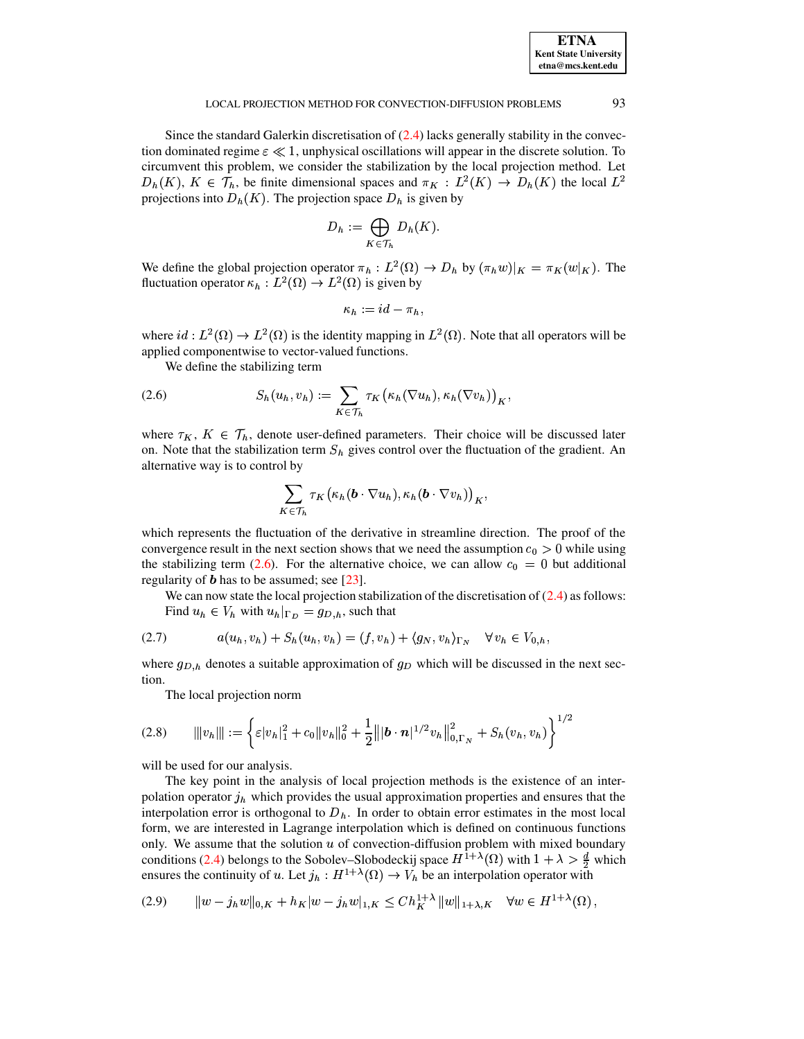| <b>ETNA</b>                  |
|------------------------------|
| <b>Kent State University</b> |
| etna@mcs.kent.edu            |

93

Since the standard Galerkin discretisation of  $(2.4)$  lacks generally stability in the convection dominated regime  $\varepsilon \ll 1$ , unphysical oscillations will appear in the discrete solution. To circumvent this problem, we consider the stabilization by the local projection method. Let  $D_h(K)$ ,  $K \in \mathcal{T}_h$ , be finite dimensional spaces and  $\pi_K : L^2(K) \to D_h(K)$  the local  $L^2$ projections into  $D_h(K)$ . The projection space  $D_h$  is given by

$$
D_h := \bigoplus_{K \in \mathcal{T}_h} D_h(K).
$$

We define the global projection operator  $\pi_h : L^2(\Omega) \to D_h$  by  $(\pi_h w)|_K = \pi_K(w|_K)$ . The fluctuation operator  $\kappa_h : L^2(\Omega) \to L^2(\Omega)$  is given by

$$
\kappa_h := id - \pi_h,
$$

where  $id: L^2(\Omega) \to L^2(\Omega)$  is the identity mapping in  $L^2(\Omega)$ . Note that all operators will be applied componentwise to vector-valued functions.

<span id="page-3-0"></span>We define the stabilizing term

(2.6) 
$$
S_h(u_h, v_h) := \sum_{K \in \mathcal{T}_h} \tau_K(\kappa_h(\nabla u_h), \kappa_h(\nabla v_h))_K,
$$

where  $\tau_K$ ,  $K \in \mathcal{T}_h$ , denote user-defined parameters. Their choice will be discussed later on. Note that the stabilization term  $S_h$  gives control over the fluctuation of the gradient. An alternative way is to control by

<span id="page-3-2"></span>
$$
\sum_{K\in\mathcal{T}_h}\tau_K\big(\kappa_h(\boldsymbol{b}\cdot\nabla u_h),\kappa_h(\boldsymbol{b}\cdot\nabla v_h)\big)_{K},
$$

which represents the fluctuation of the derivative in streamline direction. The proof of the convergence result in the next section shows that we need the assumption  $c_0 > 0$  while using the stabilizing term (2.6). For the alternative choice, we can allow  $c_0 = 0$  but additional regularity of  $\boldsymbol{b}$  has to be assumed; see [23].

We can now state the local projection stabilization of the discretisation of  $(2.4)$  as follows: Find  $u_h \in V_h$  with  $u_h|_{\Gamma_D} = g_{D,h}$ , such that

$$
(2.7) \qquad a(u_h, v_h) + S_h(u_h, v_h) = (f, v_h) + \langle g_N, v_h \rangle_{\Gamma_N} \quad \forall \, v_h \in V_{0,h}
$$

where  $g_{D,h}$  denotes a suitable approximation of  $g_D$  which will be discussed in the next section.

The local projection norm

$$
(2.8) \qquad \||v_h\|| := \left\{ \varepsilon |v_h|_1^2 + c_0 \|v_h\|_0^2 + \frac{1}{2} \left\| |\boldsymbol{b} \cdot \boldsymbol{n}|^{1/2} v_h \right\|_{0,\Gamma_N}^2 + S_h(v_h, v_h) \right\}^{1/2}
$$

will be used for our analysis.

The key point in the analysis of local projection methods is the existence of an interpolation operator  $j_h$  which provides the usual approximation properties and ensures that the interpolation error is orthogonal to  $D<sub>h</sub>$ . In order to obtain error estimates in the most local form, we are interested in Lagrange interpolation which is defined on continuous functions only. We assume that the solution  $u$  of convection-diffusion problem with mixed boundary conditions (2.4) belongs to the Sobolev–Slobodeckij space  $H^{1+\lambda}(\Omega)$  with  $1+\lambda > \frac{d}{2}$  which ensures the continuity of u. Let  $j_h : H^{1+\lambda}(\Omega) \to V_h$  be an interpolation operator with

<span id="page-3-1"></span>
$$
(2.9) \qquad \|w - j_h w\|_{0,K} + h_K |w - j_h w|_{1,K} \le Ch_K^{1+\lambda} \|w\|_{1+\lambda,K} \quad \forall w \in H^{1+\lambda}(\Omega)
$$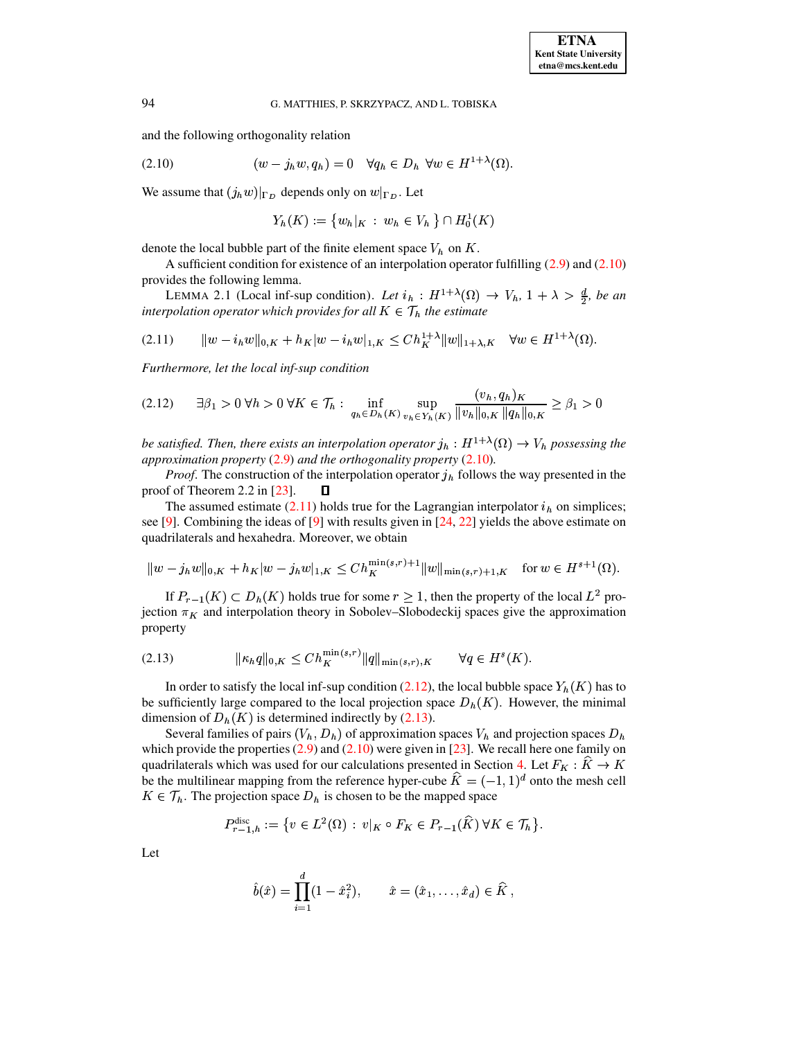and the following orthogonality relation

(2.10) 
$$
(w - j_h w, q_h) = 0 \quad \forall q_h \in D_h \ \forall w \in H^{1+\lambda}(\Omega)
$$

We assume that  $(j_h w)|_{\Gamma_D}$  depends only on  $w|_{\Gamma_D}$ . Let

<span id="page-4-1"></span><span id="page-4-0"></span>
$$
Y_h(K) := \{ w_h | K : w_h \in V_h \} \cap H_0^1(K)
$$

denote the local bubble part of the finite element space  $V_h$  on K.

<span id="page-4-4"></span>A sufficient condition for existence of an interpolation operator fulfilling  $(2.9)$  and  $(2.10)$ provides the following lemma.

LEMMA 2.1 (Local inf-sup condition). Let  $i_h : H^{1+\lambda}(\Omega) \to V_h$ ,  $1+\lambda > \frac{d}{2}$ , be an interpolation operator which provides for all  $K \in \mathcal{T}_h$  the estimate

$$
(2.11) \t ||w - i_h w||_{0,K} + h_K|w - i_h w|_{1,K} \le Ch_K^{1+\lambda} ||w||_{1+\lambda,K} \quad \forall w \in H^{1+\lambda}(\Omega).
$$

<span id="page-4-2"></span>Furthermore, let the local inf-sup condition

$$
(2.12) \quad \exists \beta_1 > 0 \,\forall h > 0 \,\forall K \in \mathcal{T}_h: \inf_{q_h \in D_h(K)} \sup_{v_h \in Y_h(K)} \frac{(v_h, q_h)_K}{\|v_h\|_{0,K} \|q_h\|_{0,K}} \ge \beta_1 > 0
$$

be satisfied. Then, there exists an interpolation operator  $j_h : H^{1+\lambda}(\Omega) \to V_h$  possessing the approximation property  $(2.9)$  and the orthogonality property  $(2.10)$ .

*Proof.* The construction of the interpolation operator  $j<sub>h</sub>$  follows the way presented in the proof of Theorem 2.2 in  $[23]$ . О

The assumed estimate  $(2.11)$  holds true for the Lagrangian interpolator  $i<sub>h</sub>$  on simplices; see [9]. Combining the ideas of [9] with results given in [24, 22] yields the above estimate on quadrilaterals and hexahedra. Moreover, we obtain

$$
||w - j_h w||_{0,K} + h_K|w - j_h w|_{1,K} \leq Ch_K^{\min(s,r)+1} ||w||_{\min(s,r)+1,K} \quad \text{for } w \in H^{s+1}(\Omega).
$$

If  $P_{r-1}(K) \subset D_h(K)$  holds true for some  $r \geq 1$ , then the property of the local  $L^2$  projection  $\pi_K$  and interpolation theory in Sobolev–Slobodeckij spaces give the approximation property

<span id="page-4-3"></span>(2.13) 
$$
\| \kappa_h q \|_{0,K} \leq Ch_K^{\min(s,r)} \| q \|_{\min(s,r),K} \quad \forall q \in H^s(K).
$$

In order to satisfy the local inf-sup condition (2.12), the local bubble space  $Y_h(K)$  has to be sufficiently large compared to the local projection space  $D_h(K)$ . However, the minimal dimension of  $D_h(K)$  is determined indirectly by (2.13).

Several families of pairs  $(V_h, D_h)$  of approximation spaces  $V_h$  and projection spaces  $D_h$ which provide the properties  $(2.9)$  and  $(2.10)$  were given in [23]. We recall here one family on quadrilaterals which was used for our calculations presented in Section 4. Let  $F_K : K \to K$ be the multilinear mapping from the reference hyper-cube  $\hat{K} = (-1, 1)^d$  onto the mesh cell  $K \in \mathcal{T}_h$ . The projection space  $D_h$  is chosen to be the mapped space

$$
P_{r-1,h}^{\text{disc}} := \{ v \in L^2(\Omega) : v|_K \circ F_K \in P_{r-1}(\widehat{K}) \,\forall K \in \mathcal{T}_h \}.
$$

Let

$$
\hat{b}(\hat{x}) = \prod_{i=1}^{d} (1 - \hat{x}_i^2), \qquad \hat{x} = (\hat{x}_1, \dots, \hat{x}_d) \in \widehat{K},
$$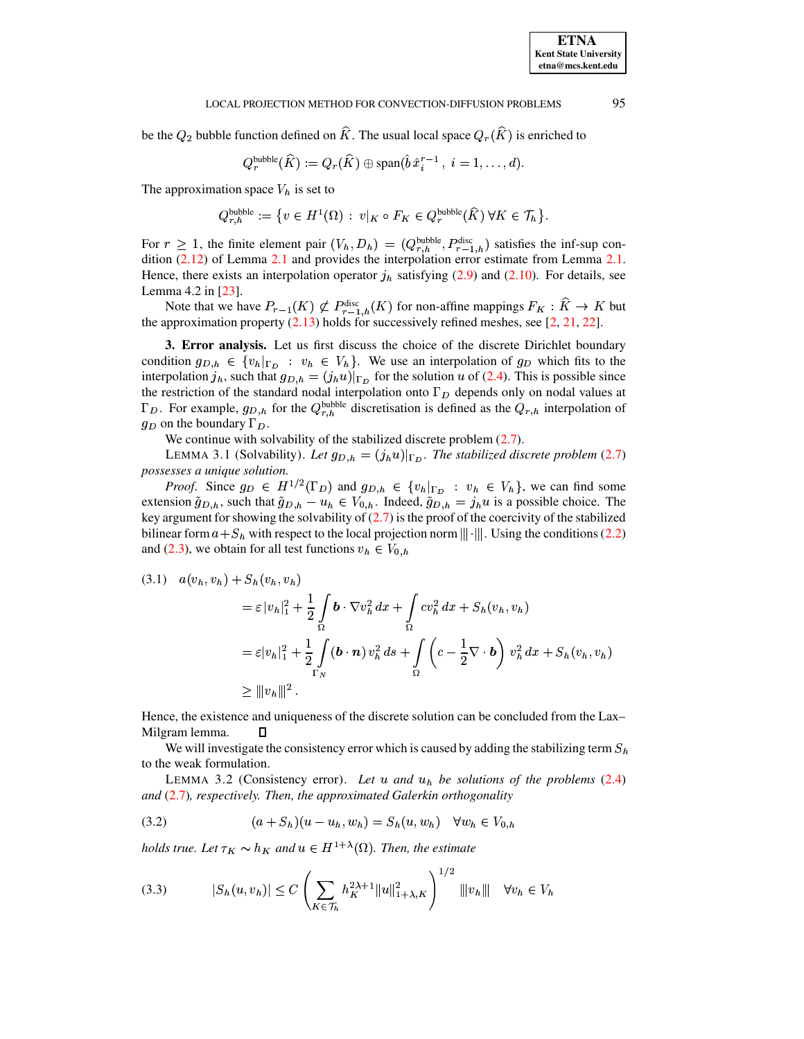#### LOCAL PROJECTION METHOD FOR CONVECTION-DIFFUSION PROBLEMS

be the  $Q_2$  bubble function defined on  $\hat{K}$ . The usual local space  $Q_r(\hat{K})$  is enriched to

$$
Q_r^{\text{bubble}}(\widehat{K}) := Q_r(\widehat{K}) \oplus \text{span}(\hat{b}\,\hat{x}_i^{r-1}\,,\ i=1,\ldots,d)
$$

The approximation space  $V_h$  is set to

$$
Q_{r,h}^{\text{bubble}} := \left\{ v \in H^1(\Omega) : \ v|_K \circ F_K \in Q_r^{\text{bubble}}(\widehat{K}) \ \forall K \in \mathcal{T}_h \right\}.
$$

For  $r \geq 1$ , the finite element pair  $(V_h, D_h) = (Q_{r,h}^{\text{bubble}}, P_{r-1,h}^{\text{disc}})$  satisfies the inf-sup condition  $(2.12)$  of Lemma 2.1 and provides the interpolation error estimate from Lemma 2.1. Hence, there exists an interpolation operator  $j<sub>h</sub>$  satisfying (2.9) and (2.10). For details, see Lemma 4.2 in  $[23]$ .

Note that we have  $P_{r-1}(K) \not\subset P_{r-1,h}^{\text{disc}}(K)$  for non-affine mappings  $F_K : \widehat{K} \to K$  but the approximation property  $(2.13)$  holds for successively refined meshes, see [2, 21, 22].

<span id="page-5-0"></span>3. Error analysis. Let us first discuss the choice of the discrete Dirichlet boundary condition  $g_{D,h} \in \{v_h|_{\Gamma_D} : v_h \in V_h\}$ . We use an interpolation of  $g_D$  which fits to the interpolation  $j_h$ , such that  $g_{D,h} = (j_h u)|_{\Gamma_D}$  for the solution u of (2.4). This is possible since the restriction of the standard nodal interpolation onto  $\Gamma_D$  depends only on nodal values at  $\Gamma_D$ . For example,  $g_{D,h}$  for the  $Q_{r,h}^{\text{bubble}}$  discretisation is defined as the  $Q_{r,h}$  interpolation of  $g_D$  on the boundary  $\Gamma_D$ .

<span id="page-5-2"></span>We continue with solvability of the stabilized discrete problem  $(2.7)$ .

LEMMA 3.1 (Solvability). Let  $g_{D,h} = (j_h u)|_{\Gamma_D}$ . The stabilized discrete problem (2.7) possesses a unique solution.

*Proof.* Since  $g_D \in H^{1/2}(\Gamma_D)$  and  $g_{D,h} \in \{v_h|_{\Gamma_D} : v_h \in V_h\}$ , we can find some extension  $\tilde{g}_{D,h}$ , such that  $\tilde{g}_{D,h} - u_h \in V_{0,h}$ . Indeed,  $\tilde{g}_{D,h} = j_h u$  is a possible choice. The key argument for showing the solvability of  $(2.7)$  is the proof of the coercivity of the stabilized bilinear form  $a + S_h$  with respect to the local projection norm  $\|\cdot\|$ . Using the conditions (2.2) and (2.3), we obtain for all test functions  $v_h \in V_{0,h}$ 

$$
(3.1) \quad a(v_h, v_h) + S_h(v_h, v_h)
$$
  
=  $\varepsilon |v_h|_1^2 + \frac{1}{2} \int_{\Omega} \mathbf{b} \cdot \nabla v_h^2 dx + \int_{\Omega} cv_h^2 dx + S_h(v_h, v_h)$   
=  $\varepsilon |v_h|_1^2 + \frac{1}{2} \int_{\Gamma_N} (\mathbf{b} \cdot \mathbf{n}) v_h^2 ds + \int_{\Omega} \left( c - \frac{1}{2} \nabla \cdot \mathbf{b} \right) v_h^2 dx + S_h(v_h, v_h)$   
 $\ge ||v_h||_1^2.$ 

Hence, the existence and uniqueness of the discrete solution can be concluded from the Lax-Milgram lemma. Л

<span id="page-5-3"></span>We will investigate the consistency error which is caused by adding the stabilizing term  $S_h$ to the weak formulation.

<span id="page-5-1"></span>LEMMA 3.2 (Consistency error). Let  $u$  and  $u_h$  be solutions of the problems (2.4) and  $(2.7)$ , respectively. Then, the approximated Galerkin orthogonality

(3.2) 
$$
(a + S_h)(u - u_h, w_h) = S_h(u, w_h) \quad \forall w_h \in V_{0,h}
$$

holds true. Let  $\tau_K \sim h_K$  and  $u \in H^{1+\lambda}(\Omega)$ . Then, the estimate

$$
(3.3) \t |S_h(u,v_h)| \le C \left( \sum_{K \in \mathcal{T}_h} h_K^{2\lambda+1} \|u\|_{1+\lambda,K}^2 \right)^{1/2} \|v_h\| \quad \forall v_h \in V_h
$$

95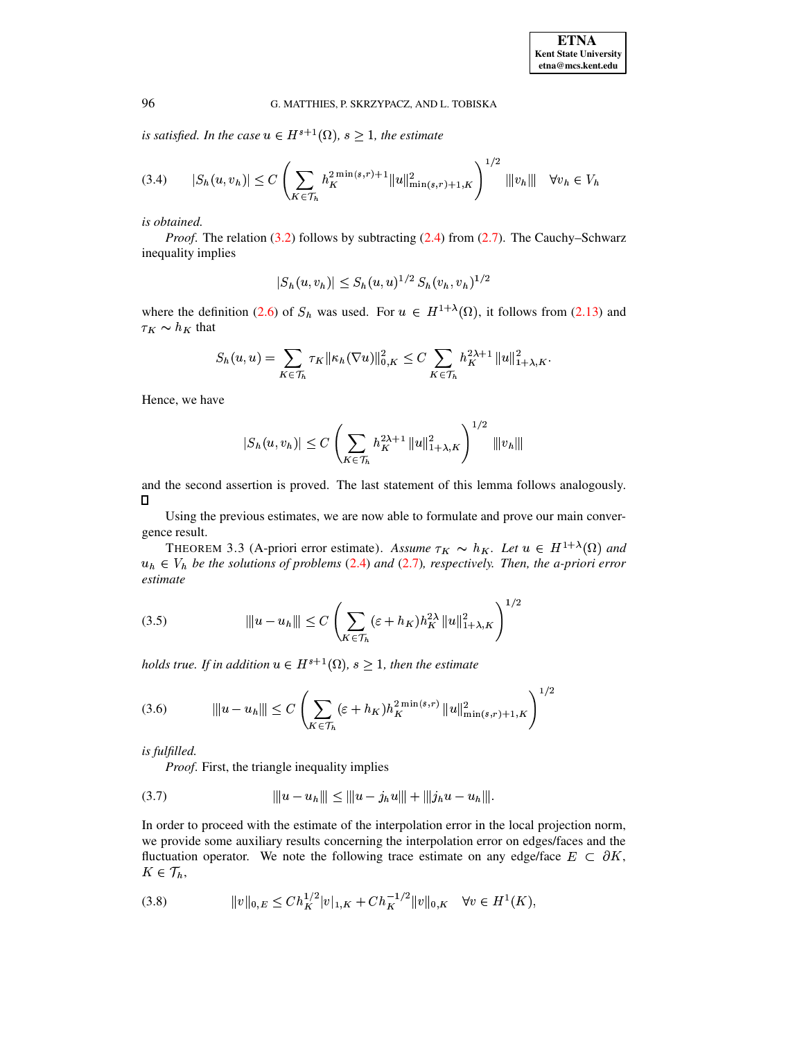is satisfied. In the case  $u \in H^{s+1}(\Omega)$ ,  $s \geq 1$ , the estimate

$$
(3.4) \qquad |S_h(u,v_h)| \le C \left( \sum_{K \in \mathcal{T}_h} h_K^{2\min(s,r)+1} \|u\|_{\min(s,r)+1,K}^2 \right)^{1/2} \|v_h\| \quad \forall v_h \in V_h
$$

is obtained.

*Proof.* The relation  $(3.2)$  follows by subtracting  $(2.4)$  from  $(2.7)$ . The Cauchy–Schwarz inequality implies

$$
|S_h(u, v_h)| \leq S_h(u, u)^{1/2} S_h(v_h, v_h)^{1/2}
$$

where the definition (2.6) of  $S_h$  was used. For  $u \in H^{1+\lambda}(\Omega)$ , it follows from (2.13) and  $\tau_K \sim h_K$  that

$$
S_h(u, u) = \sum_{K \in \mathcal{T}_h} \tau_K ||\kappa_h(\nabla u)||_{0, K}^2 \le C \sum_{K \in \mathcal{T}_h} h_K^{2\lambda + 1} ||u||_{1+\lambda, K}^2.
$$

Hence, we have

$$
|S_h(u, v_h)| \le C \left( \sum_{K \in \mathcal{T}_h} h_K^{2\lambda + 1} ||u||_{1+\lambda, K}^2 \right)^{1/2} ||v_h||
$$

and the second assertion is proved. The last statement of this lemma follows analogously.  $\Box$ 

<span id="page-6-2"></span>Using the previous estimates, we are now able to formulate and prove our main convergence result.

THEOREM 3.3 (A-priori error estimate). Assume  $\tau_K \sim h_K$ . Let  $u \in H^{1+\lambda}(\Omega)$  and  $u_h \in V_h$  be the solutions of problems (2.4) and (2.7), respectively. Then, the a-priori error  $estimate$ 

<span id="page-6-1"></span>(3.5) 
$$
\|u - u_h\| \le C \left( \sum_{K \in \mathcal{T}_h} (\varepsilon + h_K) h_K^{2\lambda} \|u\|_{1+\lambda,K}^2 \right)^{1/2}
$$

holds true. If in addition  $u \in H^{s+1}(\Omega)$ ,  $s \geq 1$ , then the estimate

(3.6) 
$$
\|u - u_h\| \le C \left( \sum_{K \in \mathcal{T}_h} (\varepsilon + h_K) h_K^{2 \min(s,r)} \|u\|_{\min(s,r)+1,K}^2 \right)^{1/2}
$$

is fulfilled.

<span id="page-6-0"></span>*Proof.* First, the triangle inequality implies

In order to proceed with the estimate of the interpolation error in the local projection norm, we provide some auxiliary results concerning the interpolation error on edges/faces and the fluctuation operator. We note the following trace estimate on any edge/face  $E \subset \partial K$ ,  $K\in\mathcal{T}_h$ ,

$$
(3.8) \t\t ||v||_{0,E} \le Ch_K^{1/2}|v|_{1,K} + Ch_K^{-1/2}||v||_{0,K} \quad \forall v \in H^1(K),
$$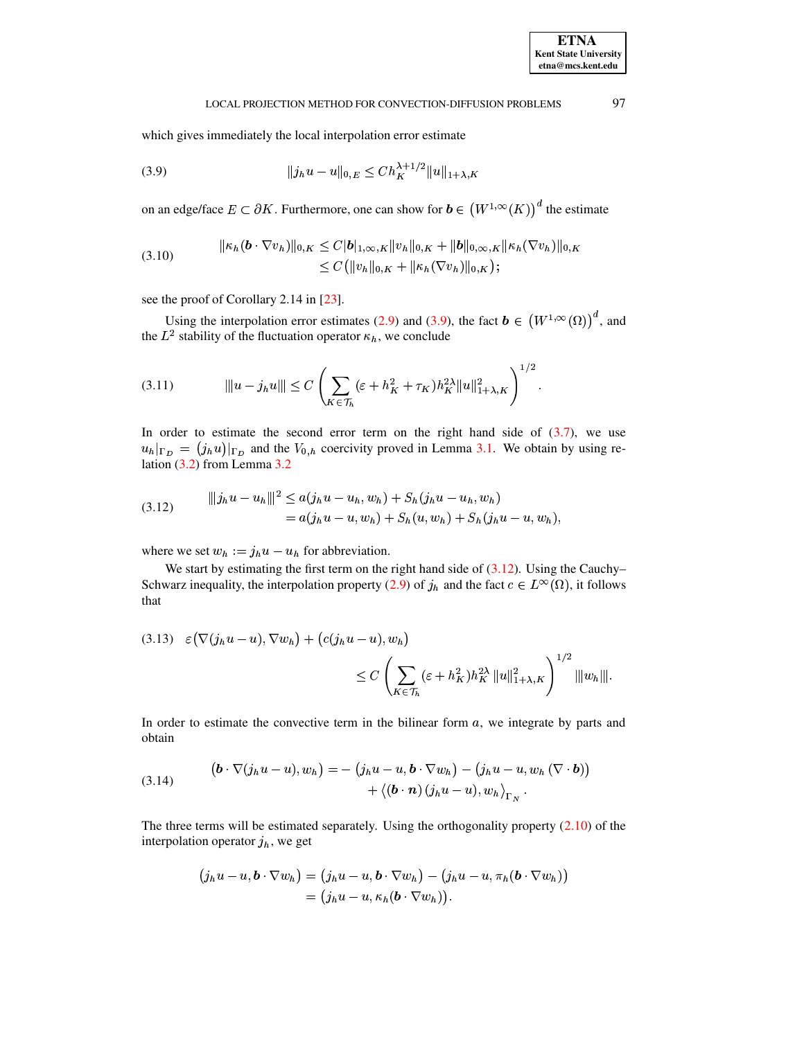<span id="page-7-2"></span>97

#### <span id="page-7-0"></span>LOCAL PROJECTION METHOD FOR CONVECTION-DIFFUSION PROBLEMS

which gives immediately the local interpolation error estimate

$$
(3.9) \t\t\t ||j_h u - u||_{0,E} \le Ch_K^{\lambda + 1/2} ||u||_{1 + \lambda, K}
$$

on an edge/face  $E \subset \partial K$ . Furthermore, one can show for  $\mathbf{b} \in (W^{1,\infty}(K))$ <sup>d</sup> the estimate

$$
(3.10) \t\t ||\kappa_h(\boldsymbol{b} \cdot \nabla v_h)||_{0,K} \leq C |\boldsymbol{b}|_{1,\infty,K} ||v_h||_{0,K} + ||\boldsymbol{b}||_{0,\infty,K} ||\kappa_h(\nabla v_h)||_{0,K} \leq C (||v_h||_{0,K} + ||\kappa_h(\nabla v_h)||_{0,K});
$$

see the proof of Corollary 2.14 in [23].

<span id="page-7-5"></span>Using the interpolation error estimates (2.9) and (3.9), the fact  $\mathbf{b} \in (W^{1,\infty}(\Omega))^d$ , and the  $L^2$  stability of the fluctuation operator  $\kappa_h$ , we conclude

<span id="page-7-1"></span>In order to estimate the second error term on the right hand side of  $(3.7)$ , we use  $u_h|_{\Gamma_D} = (j_h u)|_{\Gamma_D}$  and the  $V_{0,h}$  coercivity proved in Lemma 3.1. We obtain by using relation  $(3.2)$  from Lemma  $3.2$ 

(3.12) 
$$
\|j_h u - u_h\|^2 \le a(j_h u - u_h, w_h) + S_h(j_h u - u_h, w_h) = a(j_h u - u, w_h) + S_h(u, w_h) + S_h(j_h u - u, w_h),
$$

where we set  $w_h := j_h u - u_h$  for abbreviation.

We start by estimating the first term on the right hand side of  $(3.12)$ . Using the Cauchy-Schwarz inequality, the interpolation property (2.9) of  $j_h$  and the fact  $c \in L^{\infty}(\Omega)$ , it follows that

<span id="page-7-4"></span>
$$
(3.13) \quad \varepsilon \left( \nabla(j_h u - u), \nabla w_h \right) + \left( c(j_h u - u), w_h \right)
$$
  

$$
\leq C \left( \sum_{K \in \mathcal{T}_h} (\varepsilon + h_K^2) h_K^{2\lambda} ||u||_{1+\lambda,K}^2 \right)^{1/2} ||w_h|||.
$$

<span id="page-7-3"></span>In order to estimate the convective term in the bilinear form  $a$ , we integrate by parts and obtain

(3.14) 
$$
\begin{aligned} \left(\mathbf{b} \cdot \nabla(j_h u - u), w_h\right) &= -\left(j_h u - u, \mathbf{b} \cdot \nabla w_h\right) - \left(j_h u - u, w_h \left(\nabla \cdot \mathbf{b}\right)\right) \\ &+ \left\langle\left(\mathbf{b} \cdot \mathbf{n}\right) (j_h u - u), w_h\right\rangle_{\Gamma_N}. \end{aligned}
$$

The three terms will be estimated separately. Using the orthogonality property  $(2.10)$  of the interpolation operator  $j_h$ , we get

$$
(j_hu-u,\boldsymbol{b}\cdot\nabla w_h)=(j_hu-u,\boldsymbol{b}\cdot\nabla w_h)-(j_hu-u,\pi_h(\boldsymbol{b}\cdot\nabla w_h))
$$
  
=
$$
(j_hu-u,\kappa_h(\boldsymbol{b}\cdot\nabla w_h)).
$$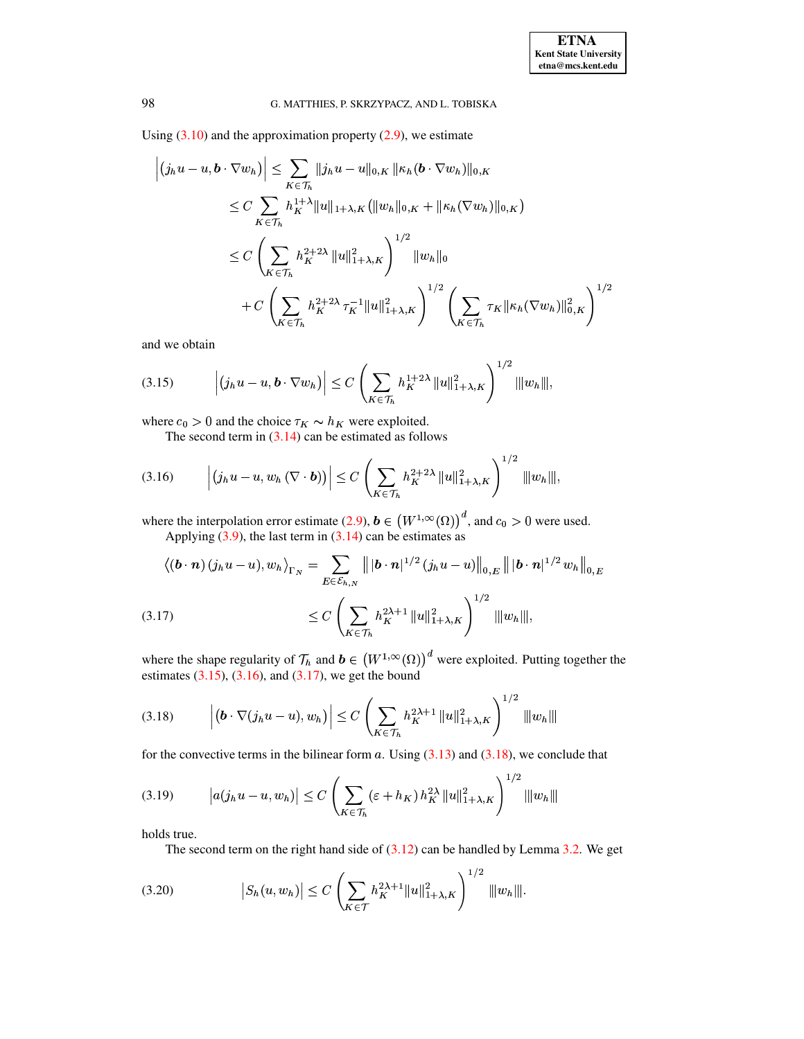Using  $(3.10)$  and the approximation property  $(2.9)$ , we estimate

$$
\left| (j_h u - u, \mathbf{b} \cdot \nabla w_h) \right| \leq \sum_{K \in \mathcal{T}_h} ||j_h u - u||_{0,K} ||\kappa_h (\mathbf{b} \cdot \nabla w_h)||_{0,K}
$$
  
\n
$$
\leq C \sum_{K \in \mathcal{T}_h} h_K^{1+\lambda} ||u||_{1+\lambda,K} (||w_h||_{0,K} + ||\kappa_h (\nabla w_h)||_{0,K})
$$
  
\n
$$
\leq C \left( \sum_{K \in \mathcal{T}_h} h_K^{2+2\lambda} ||u||_{1+\lambda,K}^2 \right)^{1/2} ||w_h||_0
$$
  
\n
$$
+ C \left( \sum_{K \in \mathcal{T}_h} h_K^{2+2\lambda} \tau_K^{-1} ||u||_{1+\lambda,K}^2 \right)^{1/2} \left( \sum_{K \in \mathcal{T}_h} \tau_K ||\kappa_h (\nabla w_h)||_{0,K}^2 \right)^{1/2}
$$

<span id="page-8-0"></span>and we obtain

$$
(3.15) \qquad \left| \left( j_h u - u, \mathbf{b} \cdot \nabla w_h \right) \right| \leq C \left( \sum_{K \in \mathcal{T}_h} h_K^{1+2\lambda} \, \| u \|_{1+\lambda,K}^2 \right)^{1/2} \| w_h \|
$$

where  $c_0 > 0$  and the choice  $\tau_K \sim h_K$  were exploited.

<span id="page-8-1"></span>The second term in  $(3.14)$  can be estimated as follows

$$
(3.16) \qquad \left| \left( j_h u - u, w_h \left( \nabla \cdot \mathbf{b} \right) \right) \right| \leq C \left( \sum_{K \in \mathcal{T}_h} h_K^{2+2\lambda} \, \| u \|_{1+\lambda,K}^2 \right)^{1/2} \, \| w_h \|
$$

where the interpolation error estimate (2.9),  $\mathbf{b} \in (W^{1,\infty}(\Omega))^d$ , and  $c_0 > 0$  were used. Applying  $(3.9)$ , the last term in  $(3.14)$  can be estimates as

<span id="page-8-2"></span>
$$
\langle (\boldsymbol{b} \cdot \boldsymbol{n}) (j_h u - u), w_h \rangle_{\Gamma_N} = \sum_{E \in \mathcal{E}_{h,N}} \| |\boldsymbol{b} \cdot \boldsymbol{n}|^{1/2} (j_h u - u) \|_{0,E} \| |\boldsymbol{b} \cdot \boldsymbol{n}|^{1/2} w_h \|_{0,E}
$$
  
(3.17)  

$$
\leq C \left( \sum_{K \in \mathcal{T}_h} h_K^{2\lambda+1} \|u\|_{1+\lambda,K}^2 \right)^{1/2} \|w_h\|,
$$

<span id="page-8-3"></span>where the shape regularity of  $\mathcal{T}_h$  and  $\mathbf{b} \in (W^{1,\infty}(\Omega))^d$  were exploited. Putting together the estimates  $(3.15)$ ,  $(3.16)$ , and  $(3.17)$ , we get the bound

$$
(3.18) \qquad \left| \left( \mathbf{b} \cdot \nabla (j_h u - u), w_h \right) \right| \le C \left( \sum_{K \in \mathcal{T}_h} h_K^{2\lambda + 1} \, \| u \|_{1 + \lambda, K}^2 \right)^{1/2} \, \| w_h \|
$$

for the convective terms in the bilinear form a. Using  $(3.13)$  and  $(3.18)$ , we conclude that

$$
(3.19) \t |a(j_hu - u, w_h)| \le C \left( \sum_{K \in \mathcal{T}_h} (\varepsilon + h_K) h_K^{2\lambda} ||u||_{1+\lambda,K}^2 \right)^{1/2} |||w_h|||
$$

holds true.

<span id="page-8-5"></span><span id="page-8-4"></span>The second term on the right hand side of  $(3.12)$  can be handled by Lemma 3.2. We get

$$
(3.20) \t |S_h(u, w_h)| \le C \left( \sum_{K \in \mathcal{T}} h_K^{2\lambda + 1} ||u||_{1+\lambda,K}^2 \right)^{1/2} ||w_h||.
$$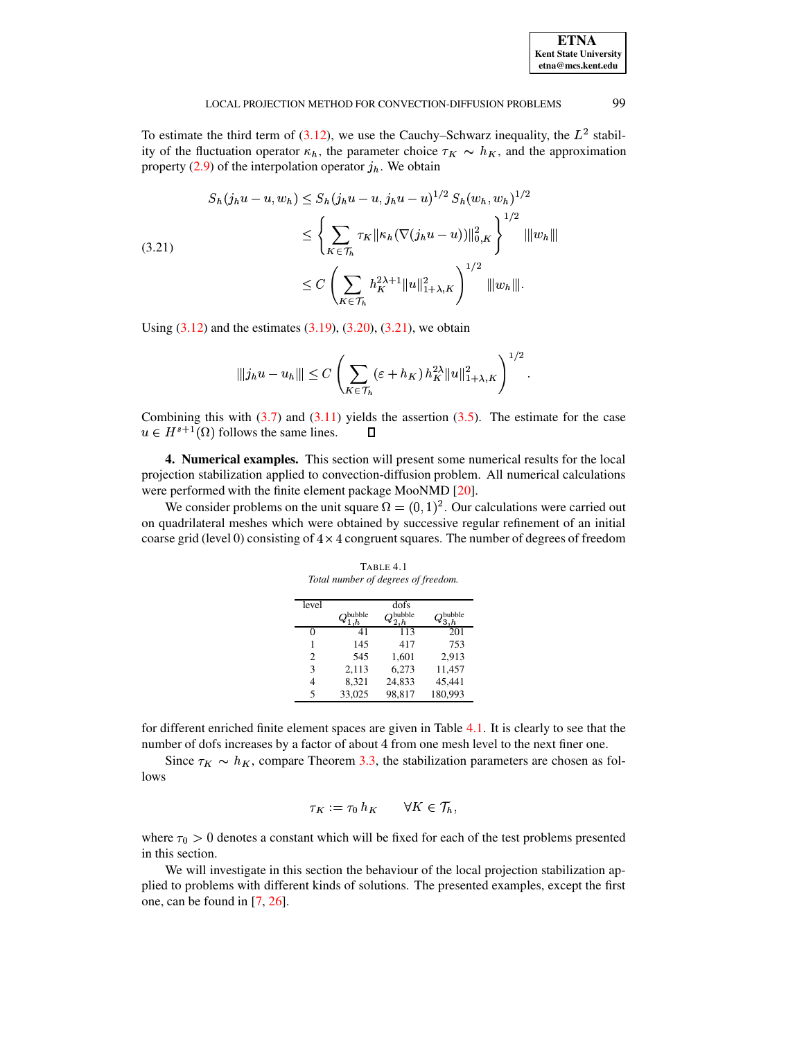<span id="page-9-1"></span>To estimate the third term of (3.12), we use the Cauchy–Schwarz inequality, the  $L^2$  stability of the fluctuation operator  $\kappa_h$ , the parameter choice  $\tau_K \sim h_K$ , and the approximation property (2.9) of the interpolation operator  $j<sub>h</sub>$ . We obtain

$$
S_h(j_h u - u, w_h) \le S_h(j_h u - u, j_h u - u)^{1/2} S_h(w_h, w_h)^{1/2}
$$
  
\n
$$
\le \left\{ \sum_{K \in \mathcal{T}_h} \tau_K \|\kappa_h(\nabla(j_h u - u))\|_{0,K}^2 \right\}^{1/2} ||w_h||
$$
  
\n
$$
\le C \left( \sum_{K \in \mathcal{T}_h} h_K^{2\lambda + 1} ||u||_{1+\lambda,K}^2 \right)^{1/2} ||w_h||.
$$

Using  $(3.12)$  and the estimates  $(3.19)$ ,  $(3.20)$ ,  $(3.21)$ , we obtain

$$
\| |j_h u - u_h|| \leq C \left( \sum_{K \in \mathcal{T}_h} (\varepsilon + h_K) h_K^{2\lambda} \|u\|_{1+\lambda,K}^2 \right)^{1/2}.
$$

Combining this with  $(3.7)$  and  $(3.11)$  yields the assertion  $(3.5)$ . The estimate for the case  $u \in H^{s+1}(\Omega)$  follows the same lines. П

<span id="page-9-0"></span>4. Numerical examples. This section will present some numerical results for the local projection stabilization applied to convection-diffusion problem. All numerical calculations were performed with the finite element package MooNMD [20].

We consider problems on the unit square  $\Omega = (0, 1)^2$ . Our calculations were carried out on quadrilateral meshes which were obtained by successive regular refinement of an initial coarse grid (level 0) consisting of  $4 \times 4$  congruent squares. The number of degrees of freedom

TABLE 4.1 Total number of degrees of freedom.

<span id="page-9-2"></span>

| level |        | dofs   |         |
|-------|--------|--------|---------|
|       | hubble | bubble | bubble  |
|       | 41     | 113    | 201     |
|       | 145    | 417    | 753     |
| 2     | 545    | 1.601  | 2.913   |
| 3     | 2,113  | 6,273  | 11,457  |
| 4     | 8,321  | 24,833 | 45,441  |
| 5     | 33,025 | 98.817 | 180,993 |

for different enriched finite element spaces are given in Table 4.1. It is clearly to see that the number of dofs increases by a factor of about 4 from one mesh level to the next finer one.

Since  $\tau_K \sim h_K$ , compare Theorem 3.3, the stabilization parameters are chosen as follows

$$
\tau_K := \tau_0 \, h_K \qquad \forall K \in \mathcal{T}_h,
$$

where  $\tau_0 > 0$  denotes a constant which will be fixed for each of the test problems presented in this section.

We will investigate in this section the behaviour of the local projection stabilization applied to problems with different kinds of solutions. The presented examples, except the first one, can be found in  $[7, 26]$ .

99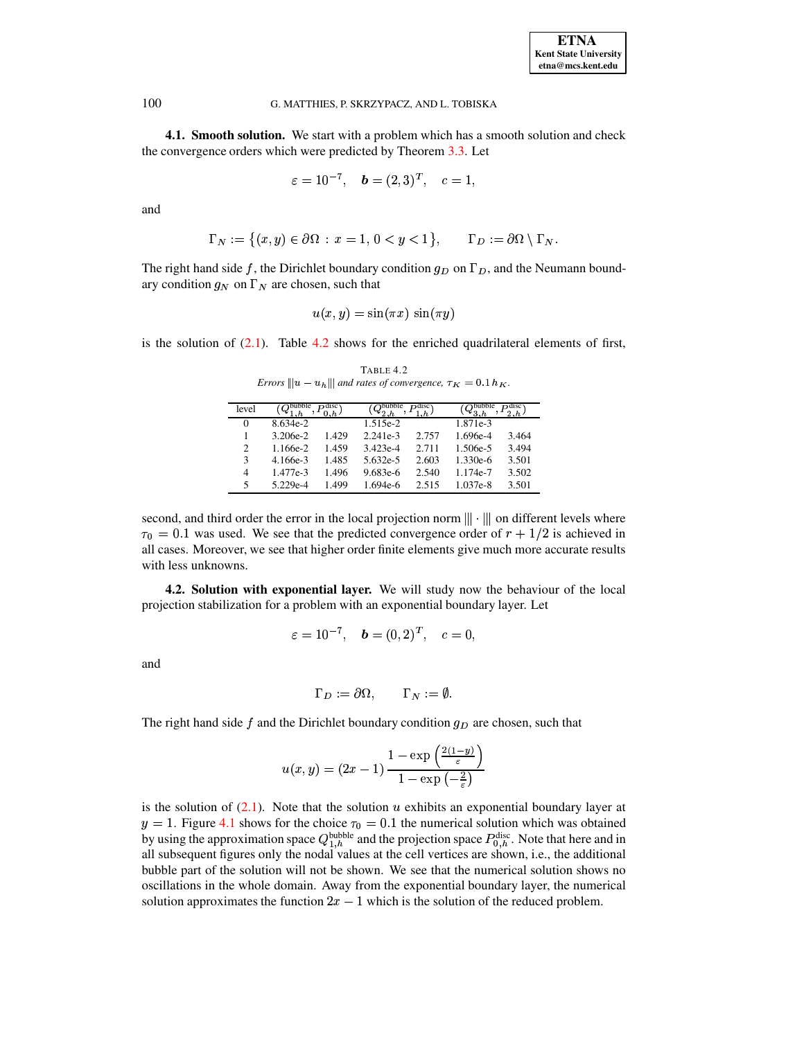4.1. Smooth solution. We start with a problem which has a smooth solution and check the convergence orders which were predicted by Theorem 3.3. Let

$$
\varepsilon = 10^{-7}, \quad \mathbf{b} = (2, 3)^T, \quad c = 1,
$$

and

$$
\Gamma_N := \left\{ (x, y) \in \partial \Omega \, : \, x = 1, \, 0 < y < 1 \right\}, \qquad \Gamma_D := \partial \Omega \setminus \Gamma_N.
$$

The right hand side f, the Dirichlet boundary condition  $q_D$  on  $\Gamma_D$ , and the Neumann boundary condition  $g_N$  on  $\Gamma_N$  are chosen, such that

$$
u(x, y) = \sin(\pi x) \sin(\pi y)
$$

<span id="page-10-0"></span>is the solution of  $(2.1)$ . Table 4.2 shows for the enriched quadrilateral elements of first,

| level |            | disc  | bubble     | Ddisc | bubble   | Ddisc |
|-------|------------|-------|------------|-------|----------|-------|
| 0     | 8.634e-2   |       | 1.515e-2   |       | 1.871e-3 |       |
|       | $3.206e-2$ | 1.429 | $2.241e-3$ | 2.757 | 1.696e-4 | 3.464 |
| 2     | 1.166e-2   | 1.459 | 3.423e-4   | 2.711 | 1.506e-5 | 3.494 |
| 3     | 4.166e-3   | 1.485 | 5.632e-5   | 2.603 | 1.330e-6 | 3.501 |
| 4     | 1.477e-3   | 1.496 | 9.683e-6   | 2.540 | 1.174e-7 | 3.502 |
| 5     | 5.229e-4   | 1.499 | 1.694e-6   | 2.515 | 1.037e-8 | 3.501 |
|       |            |       |            |       |          |       |

TABLE 4.2 Errors  $||u - u_h||$  and rates of convergence,  $\tau_K = 0.1 h_K$ .

second, and third order the error in the local projection norm  $\|\cdot\|$  on different levels where  $\tau_0 = 0.1$  was used. We see that the predicted convergence order of  $r + 1/2$  is achieved in all cases. Moreover, we see that higher order finite elements give much more accurate results with less unknowns.

<span id="page-10-1"></span>**4.2. Solution with exponential layer.** We will study now the behaviour of the local projection stabilization for a problem with an exponential boundary layer. Let

$$
\varepsilon = 10^{-7}, \quad \mathbf{b} = (0, 2)^T, \quad c = 0,
$$

and

$$
\Gamma_D := \partial \Omega, \qquad \Gamma_N := \emptyset.
$$

The right hand side f and the Dirichlet boundary condition  $g_D$  are chosen, such that

$$
u(x,y) = (2x-1)\,\frac{1-\exp\left(\frac{2(1-y)}{\varepsilon}\right)}{1-\exp\left(-\frac{2}{\varepsilon}\right)}
$$

is the solution of  $(2.1)$ . Note that the solution u exhibits an exponential boundary layer at  $y = 1$ . Figure 4.1 shows for the choice  $\tau_0 = 0.1$  the numerical solution which was obtained by using the approximation space  $Q_{1,h}^{\text{bubble}}$  and the projection space  $P_{0,h}^{\text{disc}}$ . Note that here and in all subsequent figures only the nodal values at the cell vertices are shown, i.e., the additional bubble part of the solution will not be shown. We see that the numerical solution shows no oscillations in the whole domain. Away from the exponential boundary layer, the numerical solution approximates the function  $2x - 1$  which is the solution of the reduced problem.

100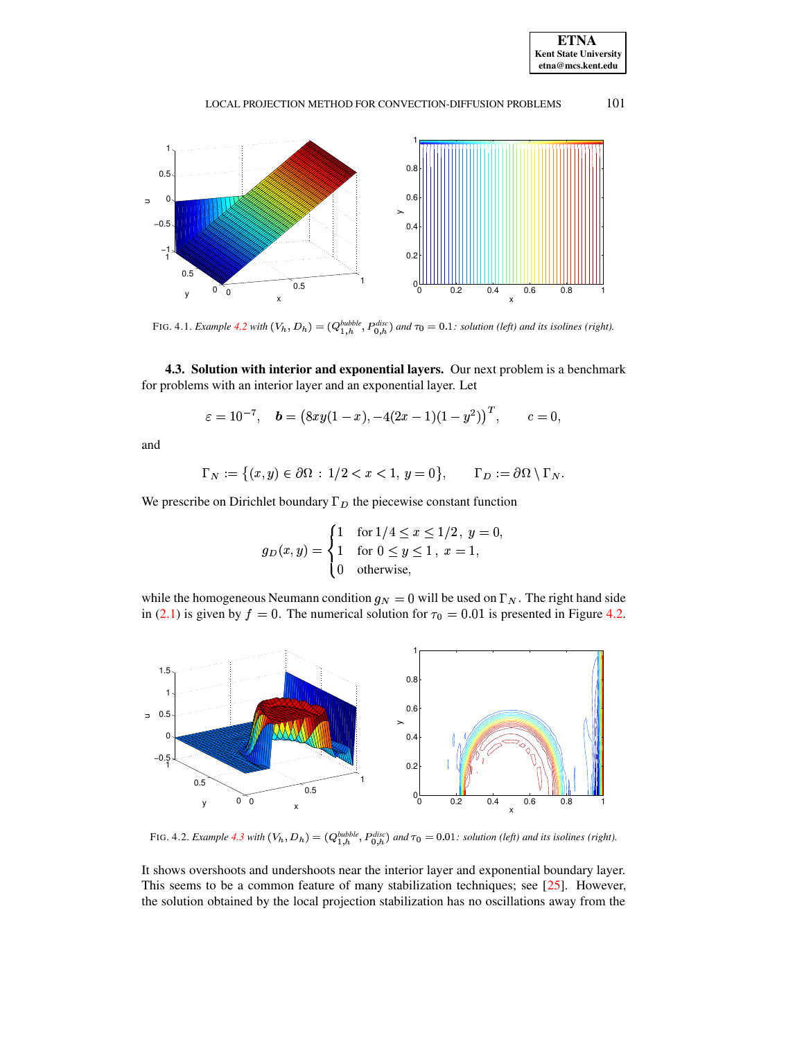

#### 101 LOCAL PROJECTION METHOD FOR CONVECTION-DIFFUSION PROBLEMS



<span id="page-11-0"></span>FIG. 4.1. Example 4.2 with  $(V_h, D_h) = (Q_{1,h}^{bubble}, P_{0,h}^{disc})$  and  $\tau_0 = 0.1$ : solution (left) and its isolines (right).

<span id="page-11-2"></span>4.3. Solution with interior and exponential layers. Our next problem is a benchmark for problems with an interior layer and an exponential layer. Let

$$
\varepsilon = 10^{-7},
$$
 **b** =  $(8xy(1-x), -4(2x-1)(1-y^2))^T$ ,  $c = 0$ 

and

$$
\Gamma_N := \left\{ (x, y) \in \partial \Omega : 1/2 < x < 1, y = 0 \right\}, \qquad \Gamma_D := \partial \Omega \setminus \Gamma_N
$$

We prescribe on Dirichlet boundary  $\Gamma_D$  the piecewise constant function

$$
g_D(x,y) = \begin{cases} 1 & \text{for } 1/4 \le x \le 1/2, \ y = 0 \\ 1 & \text{for } 0 \le y \le 1, \ x = 1, \\ 0 & \text{otherwise,} \end{cases}
$$

while the homogeneous Neumann condition  $g_N = 0$  will be used on  $\Gamma_N$ . The right hand side in (2.1) is given by  $f = 0$ . The numerical solution for  $\tau_0 = 0.01$  is presented in Figure 4.2.



FIG. 4.2. Example 4.3 with  $(V_h, D_h) = (Q_{1,h}^{bubble}, P_{0,h}^{disc})$  and  $\tau_0 = 0.01$ : solution (left) and its isolines (right).

<span id="page-11-1"></span>It shows overshoots and undershoots near the interior layer and exponential boundary layer. This seems to be a common feature of many stabilization techniques; see  $[25]$ . However, the solution obtained by the local projection stabilization has no oscillations away from the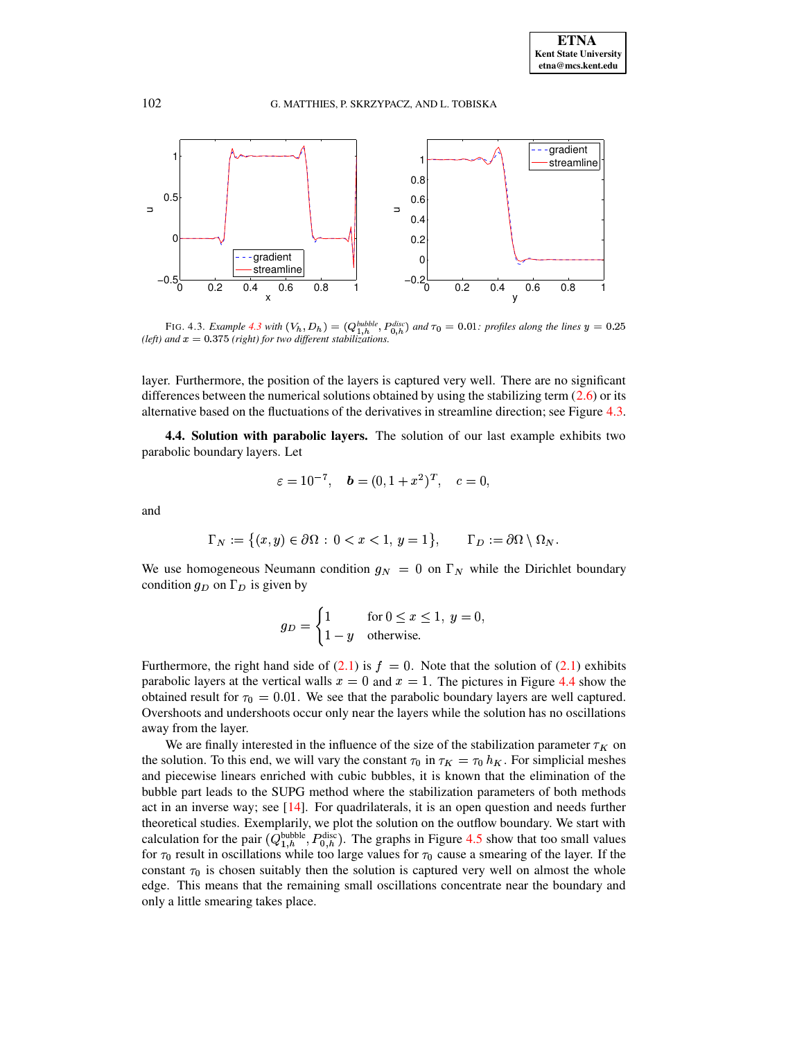

<span id="page-12-0"></span>FIG. 4.3. Example 4.3 with  $(V_h, D_h) = (Q_{1,h}^{bubble}, P_{0,h}^{disc})$  and  $\tau_0 = 0.01$ : profiles along the lines  $y = 0.25$ (left) and  $x = 0.375$  (right) for two different stabilizations.

layer. Furthermore, the position of the layers is captured very well. There are no significant differences between the numerical solutions obtained by using the stabilizing term  $(2.6)$  or its alternative based on the fluctuations of the derivatives in streamline direction; see Figure 4.3.

<span id="page-12-1"></span>4.4. Solution with parabolic layers. The solution of our last example exhibits two parabolic boundary layers. Let

$$
\varepsilon = 10^{-7}, \quad \mathbf{b} = (0, 1 + x^2)^T, \quad c = 0,
$$

and

$$
\Gamma_N := \big\{ (x, y) \in \partial \Omega \, : \, 0 < x < 1, \, y = 1 \big\}, \qquad \Gamma_D := \partial \Omega \setminus \Omega_N.
$$

We use homogeneous Neumann condition  $g_N = 0$  on  $\Gamma_N$  while the Dirichlet boundary condition  $g_D$  on  $\Gamma_D$  is given by

$$
g_D = \begin{cases} 1 & \text{for } 0 \le x \le 1, \ y = 0, \\ 1 - y & \text{otherwise.} \end{cases}
$$

Furthermore, the right hand side of (2.1) is  $f = 0$ . Note that the solution of (2.1) exhibits parabolic layers at the vertical walls  $x = 0$  and  $x = 1$ . The pictures in Figure 4.4 show the obtained result for  $\tau_0 = 0.01$ . We see that the parabolic boundary layers are well captured. Overshoots and undershoots occur only near the layers while the solution has no oscillations away from the layer.

We are finally interested in the influence of the size of the stabilization parameter  $\tau_K$  on the solution. To this end, we will vary the constant  $\tau_0$  in  $\tau_K = \tau_0 h_K$ . For simplicial meshes and piecewise linears enriched with cubic bubbles, it is known that the elimination of the bubble part leads to the SUPG method where the stabilization parameters of both methods act in an inverse way; see  $[14]$ . For quadrilaterals, it is an open question and needs further theoretical studies. Exemplarily, we plot the solution on the outflow boundary. We start with calculation for the pair  $(Q_{1,h}^{\text{bubble}}, P_{0,h}^{\text{disc}})$ . The graphs in Figure 4.5 show that too small values for  $\tau_0$  result in oscillations while too large values for  $\tau_0$  cause a smearing of the layer. If the constant  $\tau_0$  is chosen suitably then the solution is captured very well on almost the whole edge. This means that the remaining small oscillations concentrate near the boundary and only a little smearing takes place.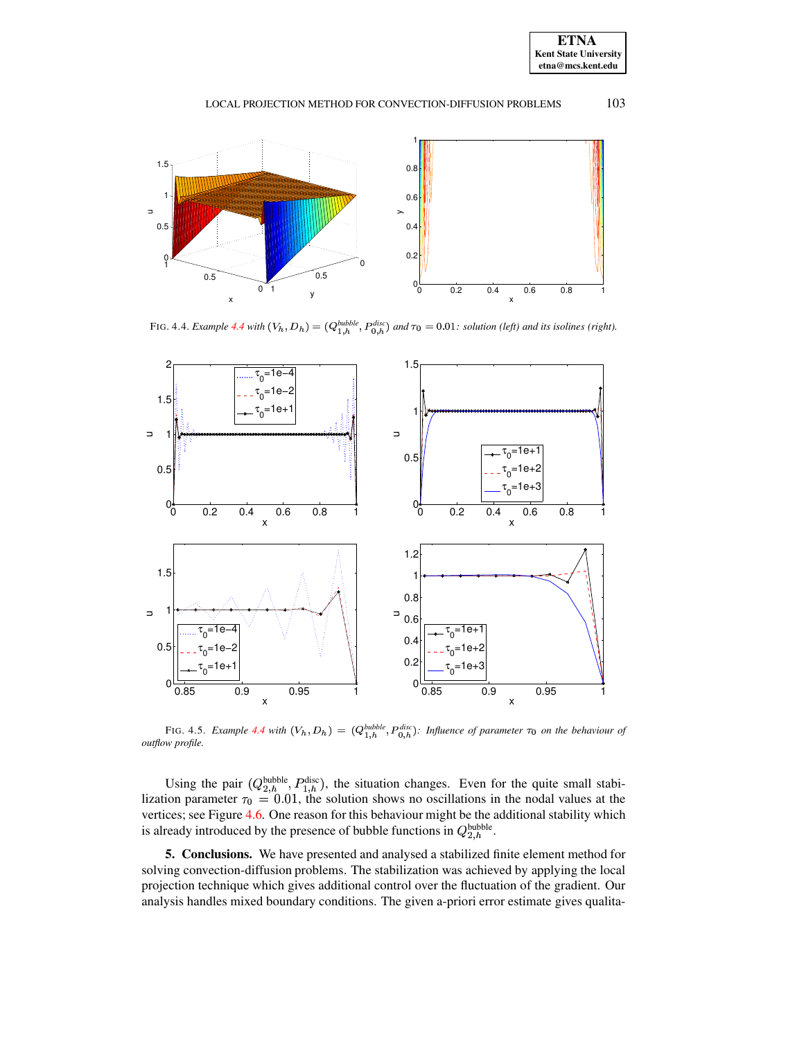**ETNA Kent State University etna@mcs.kent.edu**

# LOCAL PROJECTION METHOD FOR CONVECTION-DIFFUSION PROBLEMS 103



FIG. [4.4](#page-12-1). *Example* 4.4 *with*  $(V_h, D_h) = (Q_{1,h}^{bubble}, P_{0,h}^{disc})$  *and*  $\tau_0 = 0.01$ *: solution (left) and its isolines (right).* 

<span id="page-13-1"></span>

<span id="page-13-2"></span>FIG. 4.5. *Example* [4.4](#page-12-1) *with*  $(V_h, D_h) = (Q_{1-h}^{bubble}, P_{0,h}^{disc})$ : Influence of parameter  $\tau_0$  *on the behaviour of outflow profile.*

Using the pair  $(Q_{2,h}^{\text{bubble}}, P_{1,h}^{\text{disc}})$ , the situation changes. Even for the quite small stabi-<br>lization parameter  $\tau_0 = 0.01$ , the solution shows no oscillations in the nodal values at the vertices; see Figure [4.6.](#page-14-15) One reason for this behaviour might be the additional stability which is already introduced by the presence of bubble functions in  $Q_{2,h}^{\text{bubble}}$ .

<span id="page-13-0"></span>**5. Conclusions.** We have presented and analysed a stabilized finite element method for solving convection-diffusion problems. The stabilization was achieved by applying the local projection technique which gives additional control over the fluctuation of the gradient. Our analysis handles mixed boundary conditions. The given a-priori error estimate gives qualita-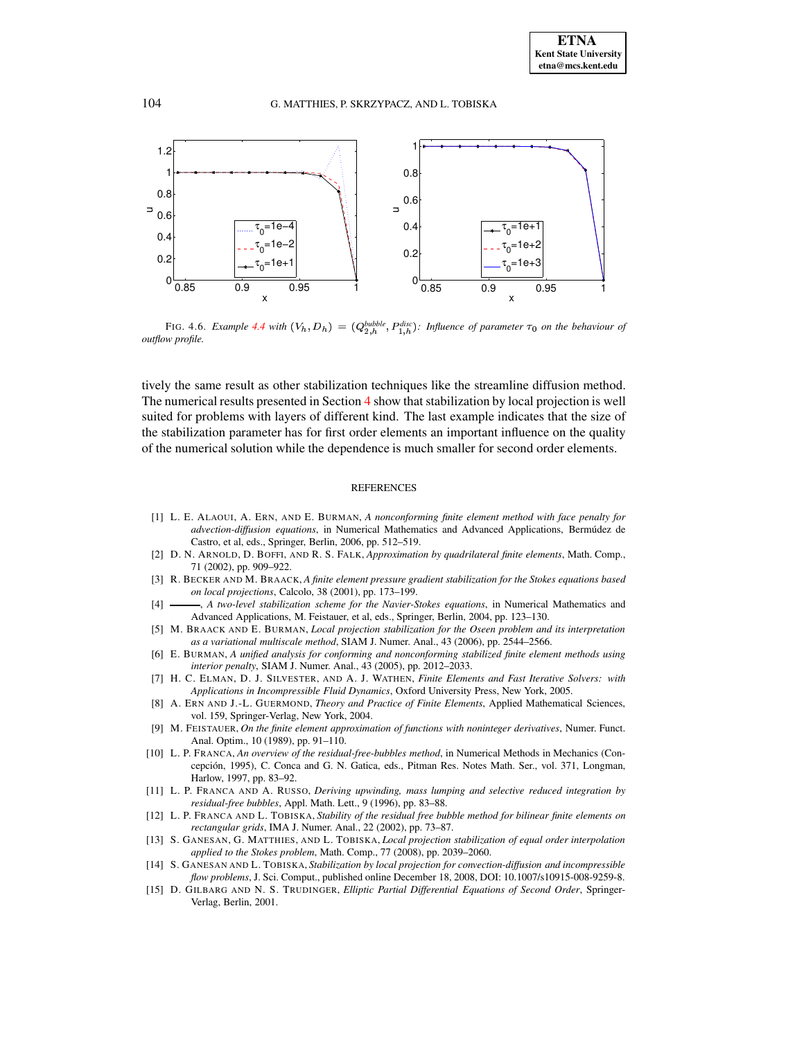

<span id="page-14-15"></span>FIG. 4.6. *Example* [4.4](#page-12-1) *with*  $(V_h, D_h) = (Q_{2h}^{bubble}, P_{1h}^{disc})$ : Influence of parameter  $\tau_0$  on the behaviour of *outflow profile.*

tively the same result as other stabilization techniques like the streamline diffusion method. The numerical results presented in Section [4](#page-9-0) show that stabilization by local projection is well suited for problems with layers of different kind. The last example indicates that the size of the stabilization parameter has for first order elements an important influence on the quality of the numerical solution while the dependence is much smaller for second order elements.

#### REFERENCES

- <span id="page-14-0"></span>[1] L. E. ALAOUI, A. ERN, AND E. BURMAN, *A nonconforming finite element method with face penalty for advection-diffusion equations*, in Numerical Mathematics and Advanced Applications, Bermúdez de Castro, et al, eds., Springer, Berlin, 2006, pp. 512–519.
- <span id="page-14-12"></span>[2] D. N. ARNOLD, D. BOFFI, AND R. S. FALK, *Approximation by quadrilateral finite elements*, Math. Comp., 71 (2002), pp. 909–922.
- <span id="page-14-6"></span>[3] R. BECKER AND M. BRAACK, *A finite element pressure gradient stabilization for the Stokes equations based on local projections*, Calcolo, 38 (2001), pp. 173–199.
- <span id="page-14-8"></span><span id="page-14-7"></span>[4] , *A two-level stabilization scheme for the Navier-Stokes equations*, in Numerical Mathematics and Advanced Applications, M. Feistauer, et al, eds., Springer, Berlin, 2004, pp. 123–130.
- [5] M. BRAACK AND E. BURMAN, *Local projection stabilization for the Oseen problem and its interpretation as a variational multiscale method*, SIAM J. Numer. Anal., 43 (2006), pp. 2544–2566.
- <span id="page-14-1"></span>[6] E. BURMAN, *A unified analysis for conforming and nonconforming stabilized finite element methods using interior penalty*, SIAM J. Numer. Anal., 43 (2005), pp. 2012–2033.
- <span id="page-14-13"></span>[7] H. C. ELMAN, D. J. SILVESTER, AND A. J. WATHEN, *Finite Elements and Fast Iterative Solvers: with Applications in Incompressible Fluid Dynamics*, Oxford University Press, New York, 2005.
- <span id="page-14-5"></span>[8] A. ERN AND J.-L. GUERMOND, *Theory and Practice of Finite Elements*, Applied Mathematical Sciences, vol. 159, Springer-Verlag, New York, 2004.
- <span id="page-14-11"></span>[9] M. FEISTAUER, *On the finite element approximation of functions with noninteger derivatives*, Numer. Funct. Anal. Optim., 10 (1989), pp. 91–110.
- <span id="page-14-2"></span>[10] L. P. FRANCA, *An overview of the residual-free-bubbles method*, in Numerical Methods in Mechanics (Concepción, 1995), C. Conca and G. N. Gatica, eds., Pitman Res. Notes Math. Ser., vol. 371, Longman, Harlow, 1997, pp. 83–92.
- <span id="page-14-3"></span>[11] L. P. FRANCA AND A. RUSSO, *Deriving upwinding, mass lumping and selective reduced integration by residual-free bubbles*, Appl. Math. Lett., 9 (1996), pp. 83–88.
- <span id="page-14-4"></span>[12] L. P. FRANCA AND L. TOBISKA, *Stability of the residual free bubble method for bilinear finite elements on rectangular grids*, IMA J. Numer. Anal., 22 (2002), pp. 73–87.
- <span id="page-14-9"></span>[13] S. GANESAN, G. MATTHIES, AND L. TOBISKA, *Local projection stabilization of equal order interpolation applied to the Stokes problem*, Math. Comp., 77 (2008), pp. 2039–2060.
- <span id="page-14-14"></span>[14] S. GANESAN AND L. TOBISKA, *Stabilization by local projection for convection-diffusion and incompressible flow problems*, J. Sci. Comput., published online December 18, 2008, DOI: 10.1007/s10915-008-9259-8.
- <span id="page-14-10"></span>[15] D. GILBARG AND N. S. TRUDINGER, *Elliptic Partial Differential Equations of Second Order*, Springer-Verlag, Berlin, 2001.